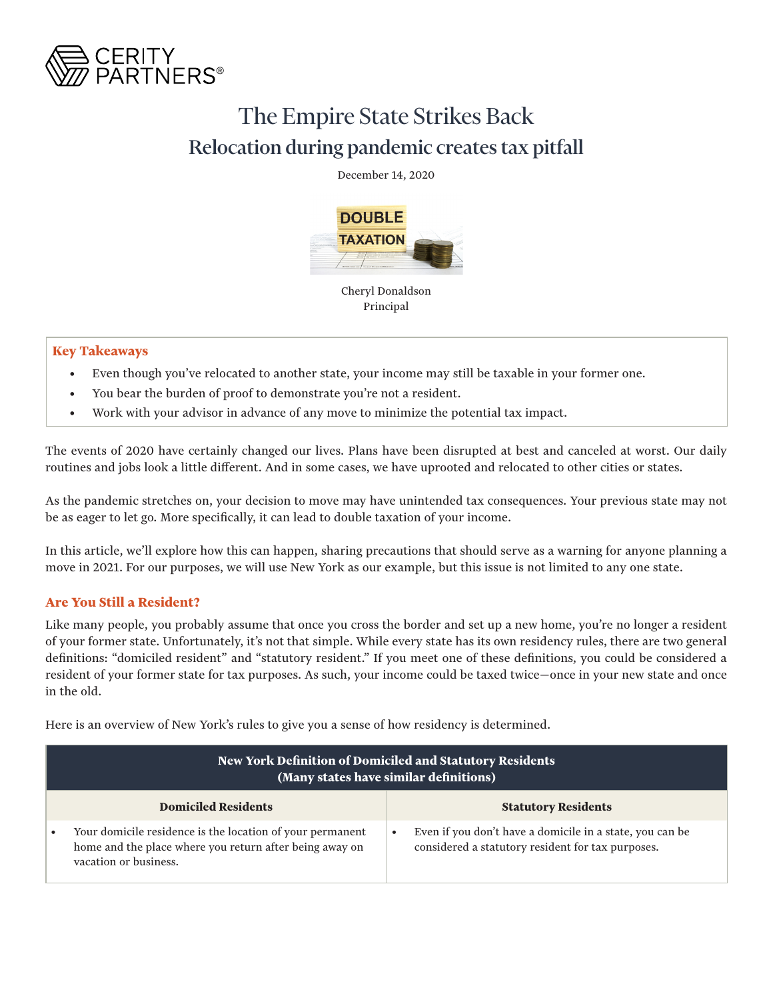

# The Empire State Strikes Back Relocation during pandemic creates tax pitfall

December 14, 2020



Principal

# **Key Takeaways**

- Even though you've relocated to another state, your income may still be taxable in your former one.
- You bear the burden of proof to demonstrate you're not a resident.
- Work with your advisor in advance of any move to minimize the potential tax impact.

The events of 2020 have certainly changed our lives. Plans have been disrupted at best and canceled at worst. Our daily routines and jobs look a little different. And in some cases, we have uprooted and relocated to other cities or states.

As the pandemic stretches on, your decision to move may have unintended tax consequences. Your previous state may not be as eager to let go. More specifically, it can lead to double taxation of your income.

In this article, we'll explore how this can happen, sharing precautions that should serve as a warning for anyone planning a move in 2021. For our purposes, we will use New York as our example, but this issue is not limited to any one state.

# **Are You Still a Resident?**

Like many people, you probably assume that once you cross the border and set up a new home, you're no longer a resident of your former state. Unfortunately, it's not that simple. While every state has its own residency rules, there are two general definitions: "domiciled resident" and "statutory resident." If you meet one of these definitions, you could be considered a resident of your former state for tax purposes. As such, your income could be taxed twice—once in your new state and once in the old.

Here is an overview of New York's rules to give you a sense of how residency is determined.

| New York Definition of Domiciled and Statutory Residents<br>(Many states have similar definitions)                                            |           |                                                                                                               |  |  |
|-----------------------------------------------------------------------------------------------------------------------------------------------|-----------|---------------------------------------------------------------------------------------------------------------|--|--|
| <b>Domiciled Residents</b>                                                                                                                    |           | <b>Statutory Residents</b>                                                                                    |  |  |
| Your domicile residence is the location of your permanent<br>home and the place where you return after being away on<br>vacation or business. | $\bullet$ | Even if you don't have a domicile in a state, you can be<br>considered a statutory resident for tax purposes. |  |  |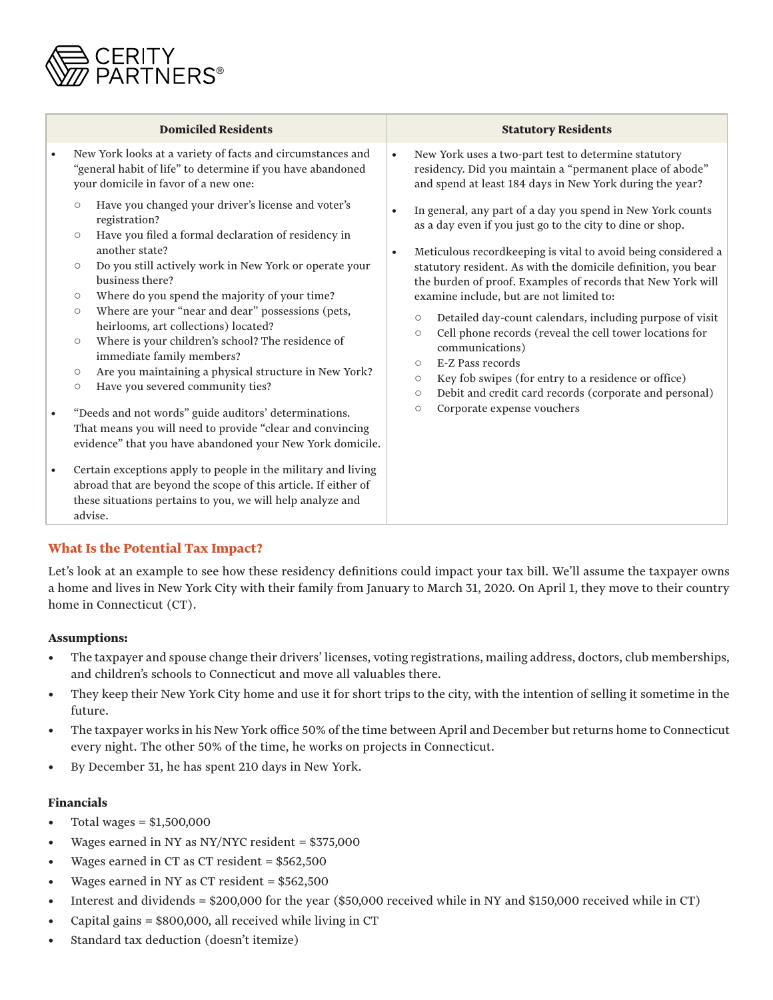

| <b>Domiciled Residents</b>                                                                                                                                                                                                                                                                                                                                                                                                                                                                                                                                                                                                                                                                                                                                                                                                                                                                                                                                                                                                                                             | <b>Statutory Residents</b>                                                                                                                                                                                                                                                                                                                                                                                                                                                                                                                                                                                                                                                                                                                                                                                                                                                                                                                                                          |
|------------------------------------------------------------------------------------------------------------------------------------------------------------------------------------------------------------------------------------------------------------------------------------------------------------------------------------------------------------------------------------------------------------------------------------------------------------------------------------------------------------------------------------------------------------------------------------------------------------------------------------------------------------------------------------------------------------------------------------------------------------------------------------------------------------------------------------------------------------------------------------------------------------------------------------------------------------------------------------------------------------------------------------------------------------------------|-------------------------------------------------------------------------------------------------------------------------------------------------------------------------------------------------------------------------------------------------------------------------------------------------------------------------------------------------------------------------------------------------------------------------------------------------------------------------------------------------------------------------------------------------------------------------------------------------------------------------------------------------------------------------------------------------------------------------------------------------------------------------------------------------------------------------------------------------------------------------------------------------------------------------------------------------------------------------------------|
| New York looks at a variety of facts and circumstances and<br>"general habit of life" to determine if you have abandoned<br>your domicile in favor of a new one:<br>Have you changed your driver's license and voter's<br>$\circ$<br>registration?<br>Have you filed a formal declaration of residency in<br>$\circ$<br>another state?<br>Do you still actively work in New York or operate your<br>$\circ$<br>business there?<br>Where do you spend the majority of your time?<br>$\circ$<br>Where are your "near and dear" possessions (pets,<br>$\circ$<br>heirlooms, art collections) located?<br>Where is your children's school? The residence of<br>$\circ$<br>immediate family members?<br>Are you maintaining a physical structure in New York?<br>$\circ$<br>Have you severed community ties?<br>$\circ$<br>"Deeds and not words" guide auditors' determinations.<br>That means you will need to provide "clear and convincing<br>evidence" that you have abandoned your New York domicile.<br>Certain exceptions apply to people in the military and living | New York uses a two-part test to determine statutory<br>$\bullet$<br>residency. Did you maintain a "permanent place of abode"<br>and spend at least 184 days in New York during the year?<br>In general, any part of a day you spend in New York counts<br>$\bullet$<br>as a day even if you just go to the city to dine or shop.<br>Meticulous recordkeeping is vital to avoid being considered a<br>$\bullet$<br>statutory resident. As with the domicile definition, you bear<br>the burden of proof. Examples of records that New York will<br>examine include, but are not limited to:<br>Detailed day-count calendars, including purpose of visit<br>$\bigcirc$<br>Cell phone records (reveal the cell tower locations for<br>$\circ$<br>communications)<br>E-Z Pass records<br>$\circ$<br>Key fob swipes (for entry to a residence or office)<br>$\circ$<br>Debit and credit card records (corporate and personal)<br>$\bigcirc$<br>Corporate expense vouchers<br>$\bigcirc$ |
| abroad that are beyond the scope of this article. If either of<br>these situations pertains to you, we will help analyze and<br>advise.                                                                                                                                                                                                                                                                                                                                                                                                                                                                                                                                                                                                                                                                                                                                                                                                                                                                                                                                |                                                                                                                                                                                                                                                                                                                                                                                                                                                                                                                                                                                                                                                                                                                                                                                                                                                                                                                                                                                     |

# **What Is the Potential Tax Impact?**

Let's look at an example to see how these residency definitions could impact your tax bill. We'll assume the taxpayer owns a home and lives in New York City with their family from January to March 31, 2020. On April 1, they move to their country home in Connecticut (CT).

# **Assumptions:**

- The taxpayer and spouse change their drivers' licenses, voting registrations, mailing address, doctors, club memberships, and children's schools to Connecticut and move all valuables there.
- They keep their New York City home and use it for short trips to the city, with the intention of selling it sometime in the future.
- The taxpayer works in his New York office 50% of the time between April and December but returns home to Connecticut every night. The other 50% of the time, he works on projects in Connecticut.
- By December 31, he has spent 210 days in New York.

#### **Financials**

- Total wages =  $$1,500,000$
- Wages earned in NY as NY/NYC resident =  $$375,000$
- Wages earned in CT as CT resident = \$562,500
- Wages earned in NY as CT resident = \$562,500
- Interest and dividends = \$200,000 for the year (\$50,000 received while in NY and \$150,000 received while in CT)
- Capital gains = \$800,000, all received while living in CT
- Standard tax deduction (doesn't itemize)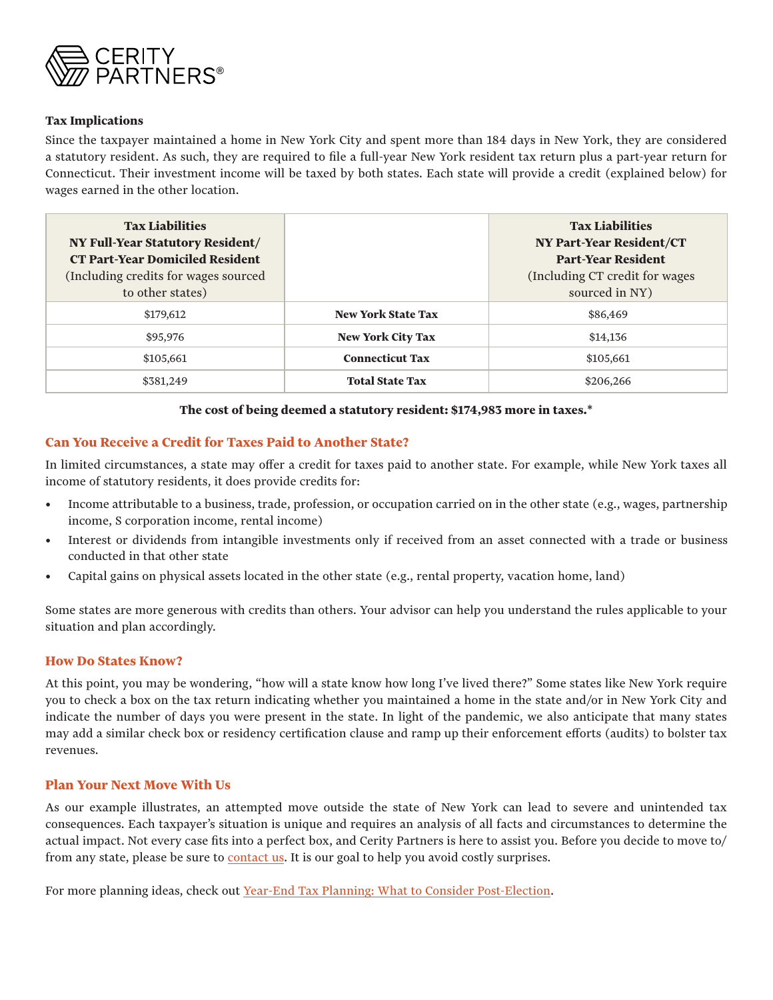

### **Tax Implications**

Since the taxpayer maintained a home in New York City and spent more than 184 days in New York, they are considered a statutory resident. As such, they are required to file a full-year New York resident tax return plus a part-year return for Connecticut. Their investment income will be taxed by both states. Each state will provide a credit (explained below) for wages earned in the other location.

| <b>Tax Liabilities</b><br>NY Full-Year Statutory Resident/<br><b>CT Part-Year Domiciled Resident</b><br>(Including credits for wages sourced)<br>to other states) |                           | <b>Tax Liabilities</b><br><b>NY Part-Year Resident/CT</b><br><b>Part-Year Resident</b><br>(Including CT credit for wages)<br>sourced in NY) |
|-------------------------------------------------------------------------------------------------------------------------------------------------------------------|---------------------------|---------------------------------------------------------------------------------------------------------------------------------------------|
| \$179,612                                                                                                                                                         | <b>New York State Tax</b> | \$86,469                                                                                                                                    |
| \$95,976                                                                                                                                                          | <b>New York City Tax</b>  | \$14,136                                                                                                                                    |
| \$105,661                                                                                                                                                         | <b>Connecticut Tax</b>    | \$105,661                                                                                                                                   |
| \$381,249                                                                                                                                                         | <b>Total State Tax</b>    | \$206,266                                                                                                                                   |

#### **The cost of being deemed a statutory resident: \$174,983 more in taxes.\***

#### **Can You Receive a Credit for Taxes Paid to Another State?**

In limited circumstances, a state may offer a credit for taxes paid to another state. For example, while New York taxes all income of statutory residents, it does provide credits for:

- Income attributable to a business, trade, profession, or occupation carried on in the other state (e.g., wages, partnership income, S corporation income, rental income)
- Interest or dividends from intangible investments only if received from an asset connected with a trade or business conducted in that other state
- Capital gains on physical assets located in the other state (e.g., rental property, vacation home, land)

Some states are more generous with credits than others. Your advisor can help you understand the rules applicable to your situation and plan accordingly.

#### **How Do States Know?**

At this point, you may be wondering, "how will a state know how long I've lived there?" Some states like New York require you to check a box on the tax return indicating whether you maintained a home in the state and/or in New York City and indicate the number of days you were present in the state. In light of the pandemic, we also anticipate that many states may add a similar check box or residency certification clause and ramp up their enforcement efforts (audits) to bolster tax revenues.

### **Plan Your Next Move With Us**

As our example illustrates, an attempted move outside the state of New York can lead to severe and unintended tax consequences. Each taxpayer's situation is unique and requires an analysis of all facts and circumstances to determine the actual impact. Not every case fits into a perfect box, and Cerity Partners is here to assist you. Before you decide to move to/ from any state, please be sure to [contact us](https://ceritypartners.com/contact/). It is our goal to help you avoid costly surprises.

For more planning ideas, check out [Year-End Tax Planning: What to Consider Post-Election](https://ceritypartners.com/thought-leadership/post-election-tax-planning/).